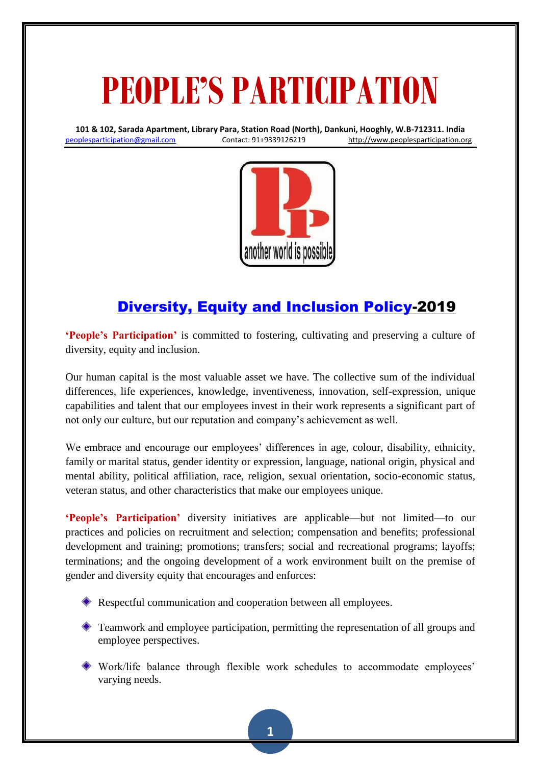## **PEOPLE'S PARTICIPATION**

**101 & 102, Sarada Apartment, Library Para, Station Road (North), Dankuni, Hooghly, W.B-712311. India** [peoplesparticipation@gmail.com](mailto:peoplesparticipation@gmail.com) Contact: 91+9339126219 [http://www.peoplesparticipation.org](http://www.peoplesparticipation.org/)



## [Diversity, Equity and Inclusion Policy-](https://www.shrm.org/ResourcesAndTools/tools-and-samples/policies/Documents/Diversity%20Equity%20and%20Inclusion%20Policy.docx)2019

**'People's Participation'** is committed to fostering, cultivating and preserving a culture of diversity, equity and inclusion.

Our human capital is the most valuable asset we have. The collective sum of the individual differences, life experiences, knowledge, inventiveness, innovation, self-expression, unique capabilities and talent that our employees invest in their work represents a significant part of not only our culture, but our reputation and company's achievement as well.

We embrace and encourage our employees' differences in age, colour, disability, ethnicity, family or marital status, gender identity or expression, language, national origin, physical and mental ability, political affiliation, race, religion, sexual orientation, socio-economic status, veteran status, and other characteristics that make our employees unique.

**'People's Participation'** diversity initiatives are applicable—but not limited—to our practices and policies on recruitment and selection; compensation and benefits; professional development and training; promotions; transfers; social and recreational programs; layoffs; terminations; and the ongoing development of a work environment built on the premise of gender and diversity equity that encourages and enforces:

- Respectful communication and cooperation between all employees.
- Teamwork and employee participation, permitting the representation of all groups and employee perspectives.
- Work/life balance through flexible work schedules to accommodate employees' varying needs.